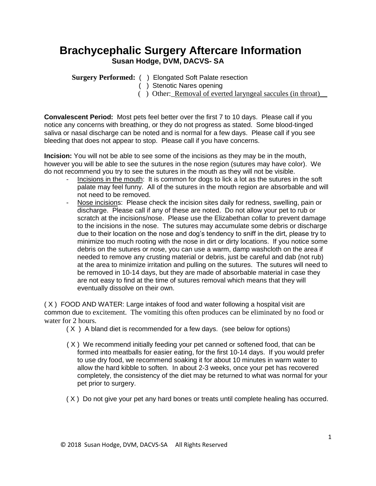## **Brachycephalic Surgery Aftercare Information Susan Hodge, DVM, DACVS- SA**

**Surgery Performed:** ( ) Elongated Soft Palate resection

( ) Stenotic Nares opening

( ) Other:\_Removal of everted laryngeal saccules (in throat)\_\_

**Convalescent Period:** Most pets feel better over the first 7 to 10 days. Please call if you notice any concerns with breathing, or they do not progress as stated. Some blood-tinged saliva or nasal discharge can be noted and is normal for a few days. Please call if you see bleeding that does not appear to stop. Please call if you have concerns.

**Incision:** You will not be able to see some of the incisions as they may be in the mouth, however you will be able to see the sutures in the nose region (sutures may have color). We do not recommend you try to see the sutures in the mouth as they will not be visible.

- Incisions in the mouth: It is common for dogs to lick a lot as the sutures in the soft palate may feel funny. All of the sutures in the mouth region are absorbable and will not need to be removed.
- Nose incisions: Please check the incision sites daily for redness, swelling, pain or discharge. Please call if any of these are noted. Do not allow your pet to rub or scratch at the incisions/nose. Please use the Elizabethan collar to prevent damage to the incisions in the nose. The sutures may accumulate some debris or discharge due to their location on the nose and dog's tendency to sniff in the dirt, please try to minimize too much rooting with the nose in dirt or dirty locations. If you notice some debris on the sutures or nose, you can use a warm, damp washcloth on the area if needed to remove any crusting material or debris, just be careful and dab (not rub) at the area to minimize irritation and pulling on the sutures. The sutures will need to be removed in 10-14 days, but they are made of absorbable material in case they are not easy to find at the time of sutures removal which means that they will eventually dissolve on their own.

( X ) FOOD AND WATER: Large intakes of food and water following a hospital visit are common due to excitement. The vomiting this often produces can be eliminated by no food or water for 2 hours.

- ( X ) A bland diet is recommended for a few days. (see below for options)
- ( X ) We recommend initially feeding your pet canned or softened food, that can be formed into meatballs for easier eating, for the first 10-14 days. If you would prefer to use dry food, we recommend soaking it for about 10 minutes in warm water to allow the hard kibble to soften. In about 2-3 weeks, once your pet has recovered completely, the consistency of the diet may be returned to what was normal for your pet prior to surgery.
- ( X ) Do not give your pet any hard bones or treats until complete healing has occurred.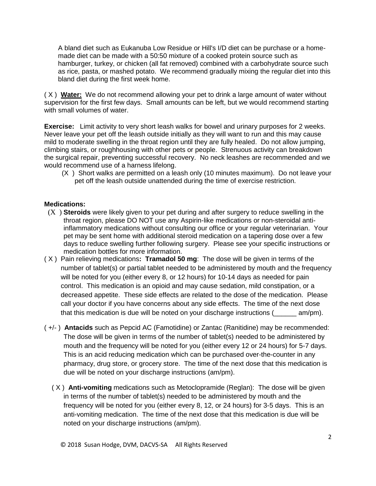A bland diet such as Eukanuba Low Residue or Hill's I/D diet can be purchase or a homemade diet can be made with a 50:50 mixture of a cooked protein source such as hamburger, turkey, or chicken (all fat removed) combined with a carbohydrate source such as rice, pasta, or mashed potato. We recommend gradually mixing the regular diet into this bland diet during the first week home.

( X ) **Water:** We do not recommend allowing your pet to drink a large amount of water without supervision for the first few days. Small amounts can be left, but we would recommend starting with small volumes of water.

**Exercise:** Limit activity to very short leash walks for bowel and urinary purposes for 2 weeks. Never leave your pet off the leash outside initially as they will want to run and this may cause mild to moderate swelling in the throat region until they are fully healed. Do not allow jumping, climbing stairs, or roughhousing with other pets or people. Strenuous activity can breakdown the surgical repair, preventing successful recovery. No neck leashes are recommended and we would recommend use of a harness lifelong.

 (X ) Short walks are permitted on a leash only (10 minutes maximum). Do not leave your pet off the leash outside unattended during the time of exercise restriction.

## **Medications:**

- (X ) **Steroids** were likely given to your pet during and after surgery to reduce swelling in the throat region, please DO NOT use any Aspirin-like medications or non-steroidal antiinflammatory medications without consulting our office or your regular veterinarian. Your pet may be sent home with additional steroid medication on a tapering dose over a few days to reduce swelling further following surgery. Please see your specific instructions or medication bottles for more information.
- ( X ) Pain relieving medications**: Tramadol 50 mg**: The dose will be given in terms of the number of tablet(s) or partial tablet needed to be administered by mouth and the frequency will be noted for you (either every 8, or 12 hours) for 10-14 days as needed for pain control. This medication is an opioid and may cause sedation, mild constipation, or a decreased appetite. These side effects are related to the dose of the medication. Please call your doctor if you have concerns about any side effects. The time of the next dose that this medication is due will be noted on your discharge instructions (exam/pm).
- ( +/- ) **Antacids** such as Pepcid AC (Famotidine) or Zantac (Ranitidine) may be recommended: The dose will be given in terms of the number of tablet(s) needed to be administered by mouth and the frequency will be noted for you (either every 12 or 24 hours) for 5-7 days. This is an acid reducing medication which can be purchased over-the-counter in any pharmacy, drug store, or grocery store. The time of the next dose that this medication is due will be noted on your discharge instructions (am/pm).
	- ( X ) **Anti-vomiting** medications such as Metoclopramide (Reglan): The dose will be given in terms of the number of tablet(s) needed to be administered by mouth and the frequency will be noted for you (either every 8, 12, or 24 hours) for 3-5 days. This is an anti-vomiting medication. The time of the next dose that this medication is due will be noted on your discharge instructions (am/pm).